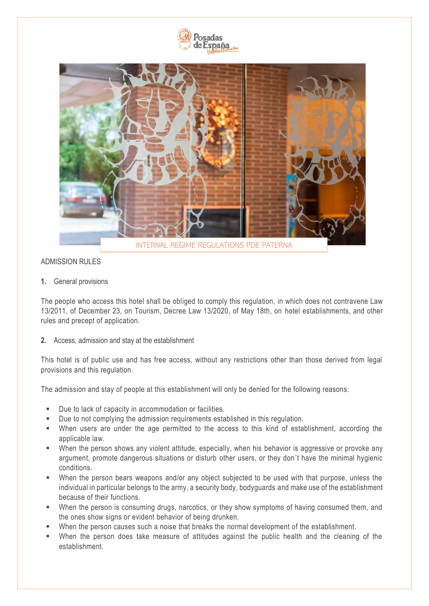



# ADMISSION RULES

**1.** General provisions

The people who access this hotel shall be obliged to comply this regulation, in which does not contravene Law 13/2011, of December 23, on Tourism, Decree Law 13/2020, of May 18th, on hotel establishments, and other rules and precept of application.

**2.** Access, admission and stay at the establishment

This hotel is of public use and has free access, without any restrictions other than those derived from legal provisions and this regulation.

The admission and stay of people at this establishment will only be denied for the following reasons:

- Due to lack of capacity in accommodation or facilities.
- Due to not complying the admission requirements established in this regulation.
- When users are under the age permitted to the access to this kind of establishment, according the applicable law.
- **E** When the person shows any violent attitude, especially, when his behavior is aggressive or provoke any argument, promote dangerous situations or disturb other users, or they don´t have the minimal hygienic conditions.
- When the person bears weapons and/or any object subjected to be used with that purpose, unless the individual in particular belongs to the army, a security body, bodyguards and make use of the establishment because of their functions.
- When the person is consuming drugs, narcotics, or they show symptoms of having consumed them, and the ones show signs or evident behavior of being drunken.
- When the person causes such a noise that breaks the normal development of the establishment.
- When the person does take measure of attitudes against the public health and the cleaning of the establishment.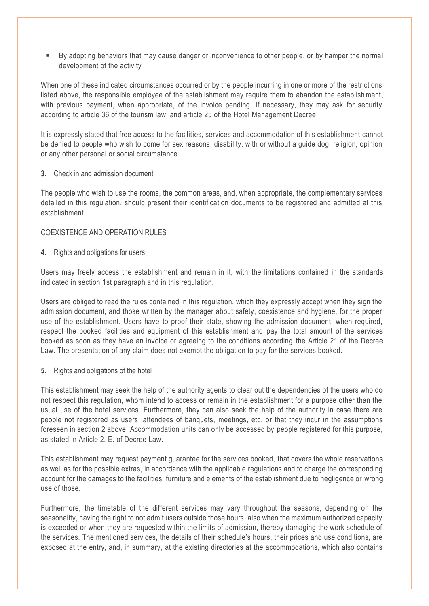▪ By adopting behaviors that may cause danger or inconvenience to other people, or by hamper the normal development of the activity

When one of these indicated circumstances occurred or by the people incurring in one or more of the restrictions listed above, the responsible employee of the establishment may require them to abandon the establishment, with previous payment, when appropriate, of the invoice pending. If necessary, they may ask for security according to article 36 of the tourism law, and article 25 of the Hotel Management Decree.

It is expressly stated that free access to the facilities, services and accommodation of this establishment cannot be denied to people who wish to come for sex reasons, disability, with or without a guide dog, religion, opinion or any other personal or social circumstance.

### **3.** Check in and admission document

The people who wish to use the rooms, the common areas, and, when appropriate, the complementary services detailed in this regulation, should present their identification documents to be registered and admitted at this establishment.

## COEXISTENCE AND OPERATION RULES

**4.** Rights and obligations for users

Users may freely access the establishment and remain in it, with the limitations contained in the standards indicated in section 1st paragraph and in this regulation.

Users are obliged to read the rules contained in this regulation, which they expressly accept when they sign the admission document, and those written by the manager about safety, coexistence and hygiene, for the proper use of the establishment. Users have to proof their state, showing the admission document, when required, respect the booked facilities and equipment of this establishment and pay the total amount of the services booked as soon as they have an invoice or agreeing to the conditions according the Article 21 of the Decree Law. The presentation of any claim does not exempt the obligation to pay for the services booked.

**5.** Rights and obligations of the hotel

This establishment may seek the help of the authority agents to clear out the dependencies of the users who do not respect this regulation, whom intend to access or remain in the establishment for a purpose other than the usual use of the hotel services. Furthermore, they can also seek the help of the authority in case there are people not registered as users, attendees of banquets, meetings, etc. or that they incur in the assumptions foreseen in section 2 above. Accommodation units can only be accessed by people registered for this purpose, as stated in Article 2. E. of Decree Law.

This establishment may request payment guarantee for the services booked, that covers the whole reservations as well as for the possible extras, in accordance with the applicable regulations and to charge the corresponding account for the damages to the facilities, furniture and elements of the establishment due to negligence or wrong use of those.

Furthermore, the timetable of the different services may vary throughout the seasons, depending on the seasonality, having the right to not admit users outside those hours, also when the maximum authorized capacity is exceeded or when they are requested within the limits of admission, thereby damaging the work schedule of the services. The mentioned services, the details of their schedule's hours, their prices and use conditions, are exposed at the entry, and, in summary, at the existing directories at the accommodations, which also contains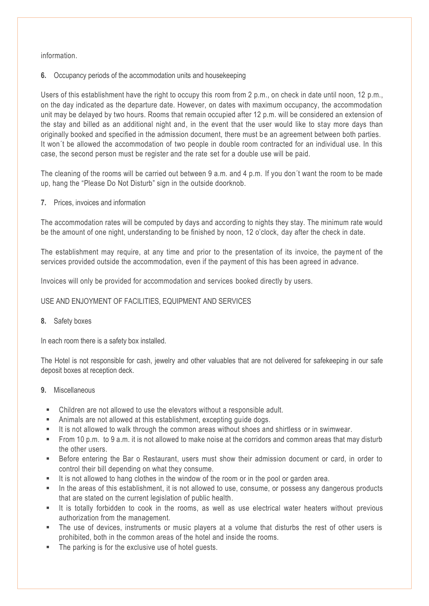# information.

**6.** Occupancy periods of the accommodation units and housekeeping

Users of this establishment have the right to occupy this room from 2 p.m., on check in date until noon, 12 p.m., on the day indicated as the departure date. However, on dates with maximum occupancy, the accommodation unit may be delayed by two hours. Rooms that remain occupied after 12 p.m. will be considered an extension of the stay and billed as an additional night and, in the event that the user would like to stay more days than originally booked and specified in the admission document, there must be an agreement between both parties. It won´t be allowed the accommodation of two people in double room contracted for an individual use. In this case, the second person must be register and the rate set for a double use will be paid.

The cleaning of the rooms will be carried out between 9 a.m. and 4 p.m. If you don´t want the room to be made up, hang the "Please Do Not Disturb" sign in the outside doorknob.

**7.** Prices, invoices and information

The accommodation rates will be computed by days and according to nights they stay. The minimum rate would be the amount of one night, understanding to be finished by noon, 12 o'clock, day after the check in date.

The establishment may require, at any time and prior to the presentation of its invoice, the payme nt of the services provided outside the accommodation, even if the payment of this has been agreed in advance.

Invoices will only be provided for accommodation and services booked directly by users.

# USE AND ENJOYMENT OF FACILITIES, EQUIPMENT AND SERVICES

### **8.** Safety boxes

In each room there is a safety box installed.

The Hotel is not responsible for cash, jewelry and other valuables that are not delivered for safekeeping in our safe deposit boxes at reception deck.

## **9.** Miscellaneous

- Children are not allowed to use the elevators without a responsible adult.
- Animals are not allowed at this establishment, excepting guide dogs.
- It is not allowed to walk through the common areas without shoes and shirtless or in swimwear.
- From 10 p.m. to 9 a.m. it is not allowed to make noise at the corridors and common areas that may disturb the other users.
- Before entering the Bar o Restaurant, users must show their admission document or card, in order to control their bill depending on what they consume.
- It is not allowed to hang clothes in the window of the room or in the pool or garden area.
- In the areas of this establishment, it is not allowed to use, consume, or possess any dangerous products that are stated on the current legislation of public health.
- It is totally forbidden to cook in the rooms, as well as use electrical water heaters without previous authorization from the management.
- The use of devices, instruments or music players at a volume that disturbs the rest of other users is prohibited, both in the common areas of the hotel and inside the rooms.
- The parking is for the exclusive use of hotel quests.